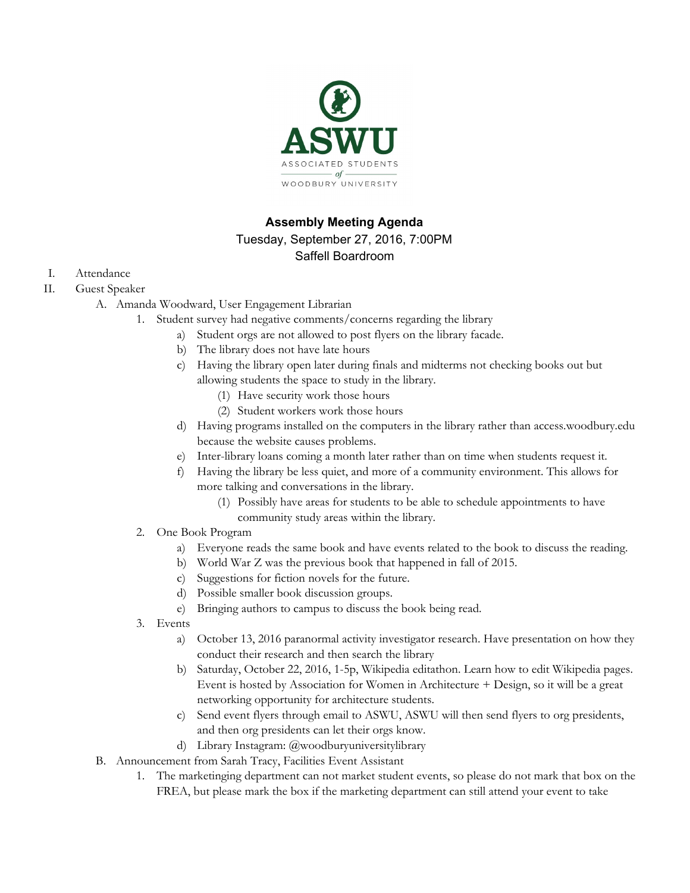

# **Assembly Meeting Agenda**

# Tuesday, September 27, 2016, 7:00PM

# Saffell Boardroom

- I. Attendance
- II. Guest Speaker
	- A. Amanda Woodward, User Engagement Librarian
		- 1. Student survey had negative comments/concerns regarding the library
			- a) Student orgs are not allowed to post flyers on the library facade.
				- b) The library does not have late hours
				- c) Having the library open later during finals and midterms not checking books out but allowing students the space to study in the library.
					- (1) Have security work those hours
					- (2) Student workers work those hours
				- d) Having programs installed on the computers in the library rather than access.woodbury.edu because the website causes problems.
				- e) Inter-library loans coming a month later rather than on time when students request it.
				- f) Having the library be less quiet, and more of a community environment. This allows for more talking and conversations in the library.
					- (1) Possibly have areas for students to be able to schedule appointments to have community study areas within the library.
		- 2. One Book Program
			- a) Everyone reads the same book and have events related to the book to discuss the reading.
			- b) World War Z was the previous book that happened in fall of 2015.
			- c) Suggestions for fiction novels for the future.
			- d) Possible smaller book discussion groups.
			- e) Bringing authors to campus to discuss the book being read.
		- 3. Events
			- a) October 13, 2016 paranormal activity investigator research. Have presentation on how they conduct their research and then search the library
			- b) Saturday, October 22, 2016, 1-5p, Wikipedia editathon. Learn how to edit Wikipedia pages. Event is hosted by Association for Women in Architecture + Design, so it will be a great networking opportunity for architecture students.
			- c) Send event flyers through email to ASWU, ASWU will then send flyers to org presidents, and then org presidents can let their orgs know.
			- d) Library Instagram: @woodburyuniversitylibrary
	- B. Announcement from Sarah Tracy, Facilities Event Assistant
		- 1. The marketinging department can not market student events, so please do not mark that box on the FREA, but please mark the box if the marketing department can still attend your event to take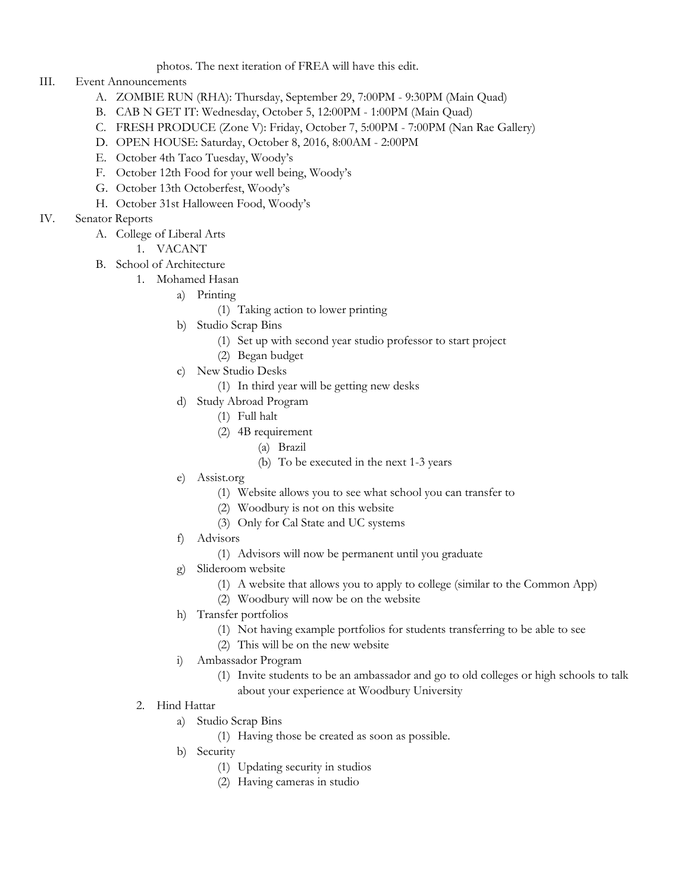photos. The next iteration of FREA will have this edit.

## III. Event Announcements

- A. ZOMBIE RUN (RHA): Thursday, September 29, 7:00PM 9:30PM (Main Quad)
- B. CAB N GET IT: Wednesday, October 5, 12:00PM 1:00PM (Main Quad)
- C. FRESH PRODUCE (Zone V): Friday, October 7, 5:00PM 7:00PM (Nan Rae Gallery)
- D. OPEN HOUSE: Saturday, October 8, 2016, 8:00AM 2:00PM
- E. October 4th Taco Tuesday, Woody's
- F. October 12th Food for your well being, Woody's
- G. October 13th Octoberfest, Woody's
- H. October 31st Halloween Food, Woody's
- IV. Senator Reports
	- A. College of Liberal Arts
		- 1. VACANT
	- B. School of Architecture
		- 1. Mohamed Hasan
			- a) Printing
				- (1) Taking action to lower printing
			- b) Studio Scrap Bins
				- (1) Set up with second year studio professor to start project
				- (2) Began budget
			- c) New Studio Desks
				- (1) In third year will be getting new desks
			- d) Study Abroad Program
				- (1) Full halt
				- (2) 4B requirement
					- (a) Brazil
					- (b) To be executed in the next 1-3 years
			- e) Assist.org
				- (1) Website allows you to see what school you can transfer to
				- (2) Woodbury is not on this website
				- (3) Only for Cal State and UC systems
			- f) Advisors
				- (1) Advisors will now be permanent until you graduate
			- g) Slideroom website
				- (1) A website that allows you to apply to college (similar to the Common App)
				- (2) Woodbury will now be on the website
			- h) Transfer portfolios
				- (1) Not having example portfolios for students transferring to be able to see
				- (2) This will be on the new website
			- i) Ambassador Program
				- (1) Invite students to be an ambassador and go to old colleges or high schools to talk about your experience at Woodbury University
		- 2. Hind Hattar
			- a) Studio Scrap Bins
				- (1) Having those be created as soon as possible.
			- b) Security
				- (1) Updating security in studios
				- (2) Having cameras in studio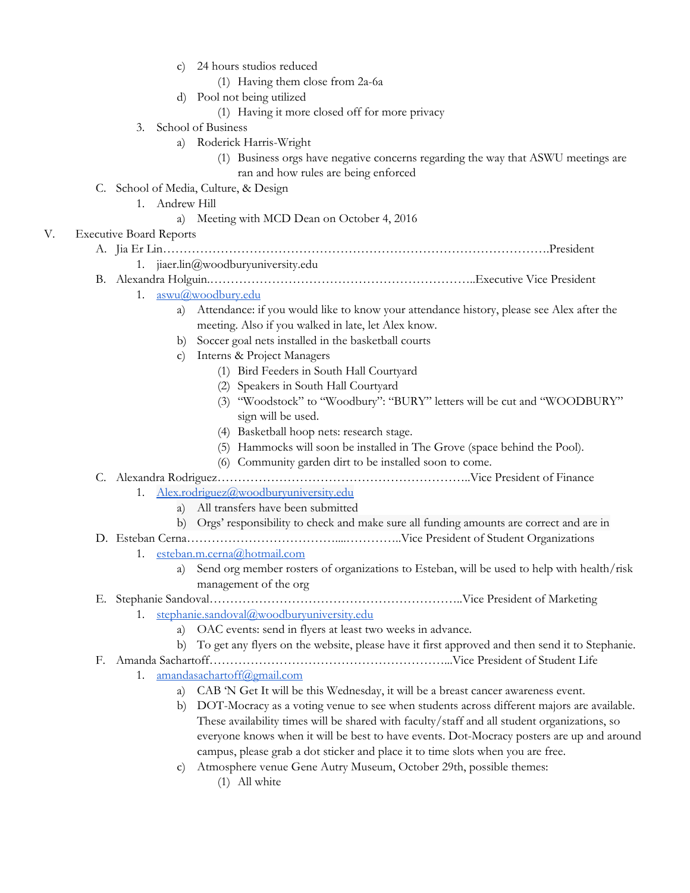- c) 24 hours studios reduced
	- (1) Having them close from 2a-6a
- d) Pool not being utilized
	- (1) Having it more closed off for more privacy
- 3. School of Business
	- a) Roderick Harris-Wright
		- (1) Business orgs have negative concerns regarding the way that ASWU meetings are ran and how rules are being enforced
- C. School of Media, Culture, & Design
	- 1. Andrew Hill
		- a) Meeting with MCD Dean on October 4, 2016

#### V. Executive Board Reports

- A. Jia Er Lin………………………………………………………………………………….President
	- 1. jiaer.lin@woodburyuniversity.edu
- B. Alexandra Holguin.………………………………………………………..Executive Vice President
	- 1. [aswu@woodbury.edu](mailto:aswu@woodbury.edu)
		- a) Attendance: if you would like to know your attendance history, please see Alex after the meeting. Also if you walked in late, let Alex know.
		- b) Soccer goal nets installed in the basketball courts
		- c) Interns & Project Managers
			- (1) Bird Feeders in South Hall Courtyard
			- (2) Speakers in South Hall Courtyard
			- (3) "Woodstock" to "Woodbury": "BURY" letters will be cut and "WOODBURY" sign will be used.
			- (4) Basketball hoop nets: research stage.
			- (5) Hammocks will soon be installed in The Grove (space behind the Pool).
			- (6) Community garden dirt to be installed soon to come.
- C. Alexandra Rodriguez……………………………………………………..Vice President of Finance
	- 1. [Alex.rodriguez@woodburyuniversity.edu](mailto:Alex.rodriguez@woodburyuniversity.edu)
		- a) All transfers have been submitted
		- b) Orgs' responsibility to check and make sure all funding amounts are correct and are in
- D. Esteban Cerna………………………………....…………..Vice President of Student Organizations

## 1. [esteban.m.cerna@hotmail.com](mailto:esteban.m.cerna@hotmail.com)

a) Send org member rosters of organizations to Esteban, will be used to help with health/risk management of the org

# E. Stephanie Sandoval……………………………………………………..Vice President of Marketing

- 1. [stephanie.sandoval@woodburyuniversity.edu](mailto:stephanie.sandoval@woodburyuniversity.edu)
	- a) OAC events: send in flyers at least two weeks in advance.
- b) To get any flyers on the website, please have it first approved and then send it to Stephanie.
- F. Amanda Sachartoff…………………………………………………...Vice President of Student Life
	- 1. [amandasachartoff@gmail.com](mailto:amandasachartoff@gmail.com)
		- a) CAB 'N Get It will be this Wednesday, it will be a breast cancer awareness event.
		- b) DOT-Mocracy as a voting venue to see when students across different majors are available. These availability times will be shared with faculty/staff and all student organizations, so everyone knows when it will be best to have events. Dot-Mocracy posters are up and around campus, please grab a dot sticker and place it to time slots when you are free.
		- c) Atmosphere venue Gene Autry Museum, October 29th, possible themes:
			- (1) All white